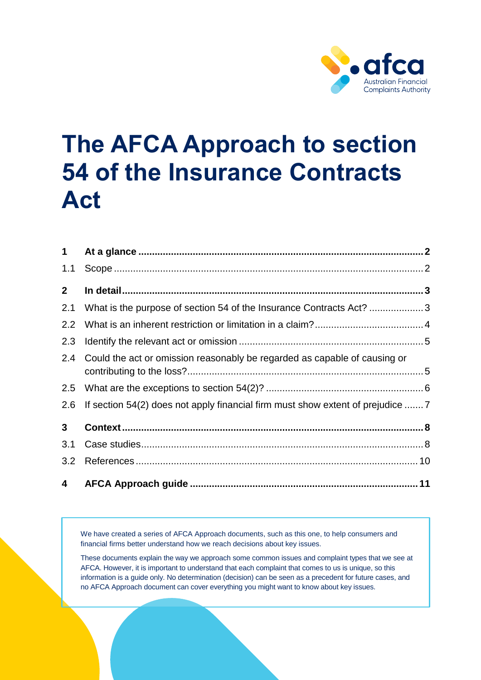

# **The AFCA Approach to section 54 of the Insurance Contracts Act**

| $\mathbf 1$             |                                                                              |  |
|-------------------------|------------------------------------------------------------------------------|--|
| 1.1                     |                                                                              |  |
| 2 <sup>1</sup>          |                                                                              |  |
| 2.1                     | What is the purpose of section 54 of the Insurance Contracts Act? 3          |  |
| 2.2                     |                                                                              |  |
| 2.3                     |                                                                              |  |
| 2.4                     | Could the act or omission reasonably be regarded as capable of causing or    |  |
| 2.5                     |                                                                              |  |
| 2.6                     | If section 54(2) does not apply financial firm must show extent of prejudice |  |
| $3\phantom{a}$          |                                                                              |  |
| 3.1                     |                                                                              |  |
| 3.2                     |                                                                              |  |
| $\overline{\mathbf{4}}$ |                                                                              |  |

We have created a series of AFCA Approach documents, such as this one, to help consumers and financial firms better understand how we reach decisions about key issues.

These documents explain the way we approach some common issues and complaint types that we see at AFCA. However, it is important to understand that each complaint that comes to us is unique, so this information is a guide only. No determination (decision) can be seen as a precedent for future cases, and no AFCA Approach document can cover everything you might want to know about key issues.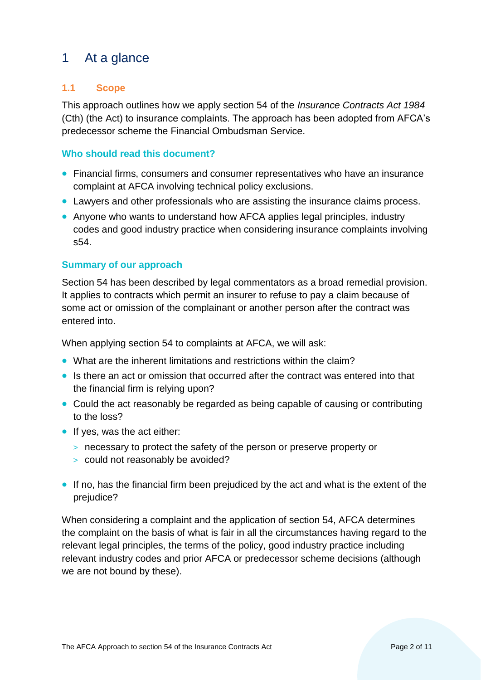## <span id="page-1-0"></span>1 At a glance

#### <span id="page-1-1"></span>**1.1 Scope**

This approach outlines how we apply section 54 of the *Insurance Contracts Act 1984* (Cth) (the Act) to insurance complaints. The approach has been adopted from AFCA's predecessor scheme the Financial Ombudsman Service.

#### **Who should read this document?**

- Financial firms, consumers and consumer representatives who have an insurance complaint at AFCA involving technical policy exclusions.
- Lawyers and other professionals who are assisting the insurance claims process.
- Anyone who wants to understand how AFCA applies legal principles, industry codes and good industry practice when considering insurance complaints involving s54.

#### **Summary of our approach**

Section 54 has been described by legal commentators as a broad remedial provision. It applies to contracts which permit an insurer to refuse to pay a claim because of some act or omission of the complainant or another person after the contract was entered into.

When applying section 54 to complaints at AFCA, we will ask:

- What are the inherent limitations and restrictions within the claim?
- Is there an act or omission that occurred after the contract was entered into that the financial firm is relying upon?
- Could the act reasonably be regarded as being capable of causing or contributing to the loss?
- If yes, was the act either:
	- > necessary to protect the safety of the person or preserve property or
	- > could not reasonably be avoided?
- If no, has the financial firm been prejudiced by the act and what is the extent of the prejudice?

When considering a complaint and the application of section 54, AFCA determines the complaint on the basis of what is fair in all the circumstances having regard to the relevant legal principles, the terms of the policy, good industry practice including relevant industry codes and prior AFCA or predecessor scheme decisions (although we are not bound by these).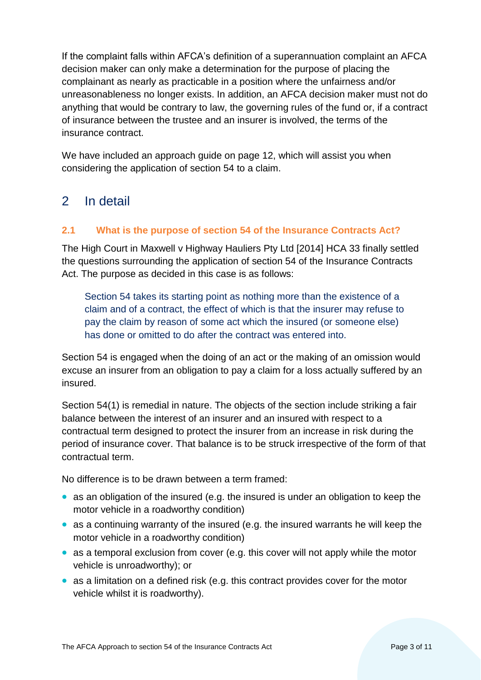If the complaint falls within AFCA's definition of a superannuation complaint an AFCA decision maker can only make a determination for the purpose of placing the complainant as nearly as practicable in a position where the unfairness and/or unreasonableness no longer exists. In addition, an AFCA decision maker must not do anything that would be contrary to law, the governing rules of the fund or, if a contract of insurance between the trustee and an insurer is involved, the terms of the insurance contract.

We have included an approach guide on page 12, which will assist you when considering the application of section 54 to a claim.

## <span id="page-2-0"></span>2 In detail

#### <span id="page-2-1"></span>**2.1 What is the purpose of section 54 of the Insurance Contracts Act?**

The High Court in Maxwell v Highway Hauliers Pty Ltd [2014] HCA 33 finally settled the questions surrounding the application of section 54 of the Insurance Contracts Act. The purpose as decided in this case is as follows:

Section 54 takes its starting point as nothing more than the existence of a claim and of a contract, the effect of which is that the insurer may refuse to pay the claim by reason of some act which the insured (or someone else) has done or omitted to do after the contract was entered into.

Section 54 is engaged when the doing of an act or the making of an omission would excuse an insurer from an obligation to pay a claim for a loss actually suffered by an insured.

Section 54(1) is remedial in nature. The objects of the section include striking a fair balance between the interest of an insurer and an insured with respect to a contractual term designed to protect the insurer from an increase in risk during the period of insurance cover. That balance is to be struck irrespective of the form of that contractual term.

No difference is to be drawn between a term framed:

- as an obligation of the insured (e.g. the insured is under an obligation to keep the motor vehicle in a roadworthy condition)
- as a continuing warranty of the insured (e.g. the insured warrants he will keep the motor vehicle in a roadworthy condition)
- as a temporal exclusion from cover (e.g. this cover will not apply while the motor vehicle is unroadworthy); or
- as a limitation on a defined risk (e.g. this contract provides cover for the motor vehicle whilst it is roadworthy).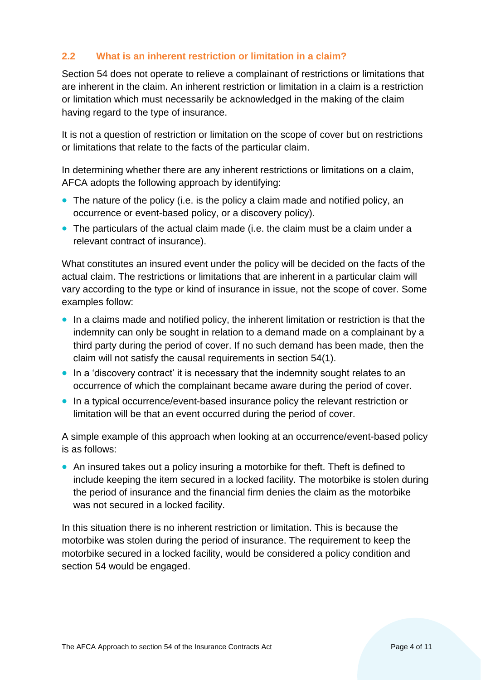#### <span id="page-3-0"></span>**2.2 What is an inherent restriction or limitation in a claim?**

Section 54 does not operate to relieve a complainant of restrictions or limitations that are inherent in the claim. An inherent restriction or limitation in a claim is a restriction or limitation which must necessarily be acknowledged in the making of the claim having regard to the type of insurance.

It is not a question of restriction or limitation on the scope of cover but on restrictions or limitations that relate to the facts of the particular claim.

In determining whether there are any inherent restrictions or limitations on a claim, AFCA adopts the following approach by identifying:

- The nature of the policy (i.e. is the policy a claim made and notified policy, an occurrence or event-based policy, or a discovery policy).
- The particulars of the actual claim made (i.e. the claim must be a claim under a relevant contract of insurance).

What constitutes an insured event under the policy will be decided on the facts of the actual claim. The restrictions or limitations that are inherent in a particular claim will vary according to the type or kind of insurance in issue, not the scope of cover. Some examples follow:

- In a claims made and notified policy, the inherent limitation or restriction is that the indemnity can only be sought in relation to a demand made on a complainant by a third party during the period of cover. If no such demand has been made, then the claim will not satisfy the causal requirements in section 54(1).
- In a 'discovery contract' it is necessary that the indemnity sought relates to an occurrence of which the complainant became aware during the period of cover.
- In a typical occurrence/event-based insurance policy the relevant restriction or limitation will be that an event occurred during the period of cover.

A simple example of this approach when looking at an occurrence/event-based policy is as follows:

• An insured takes out a policy insuring a motorbike for theft. Theft is defined to include keeping the item secured in a locked facility. The motorbike is stolen during the period of insurance and the financial firm denies the claim as the motorbike was not secured in a locked facility.

In this situation there is no inherent restriction or limitation. This is because the motorbike was stolen during the period of insurance. The requirement to keep the motorbike secured in a locked facility, would be considered a policy condition and section 54 would be engaged.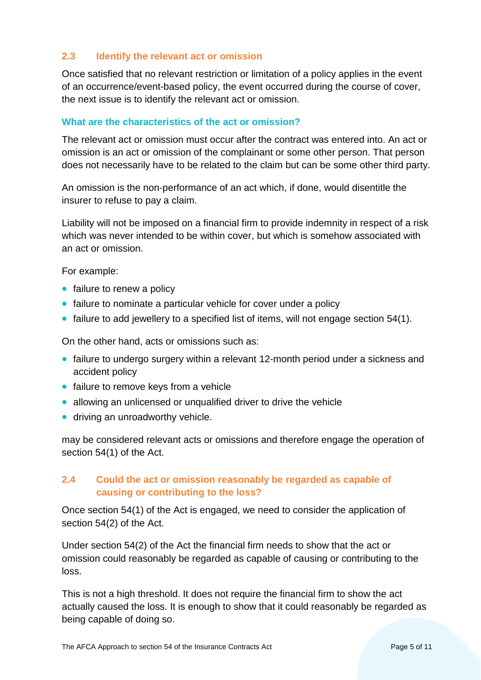#### <span id="page-4-0"></span>**2.3 Identify the relevant act or omission**

Once satisfied that no relevant restriction or limitation of a policy applies in the event of an occurrence/event-based policy, the event occurred during the course of cover, the next issue is to identify the relevant act or omission.

#### **What are the characteristics of the act or omission?**

The relevant act or omission must occur after the contract was entered into. An act or omission is an act or omission of the complainant or some other person. That person does not necessarily have to be related to the claim but can be some other third party.

An omission is the non-performance of an act which, if done, would disentitle the insurer to refuse to pay a claim.

Liability will not be imposed on a financial firm to provide indemnity in respect of a risk which was never intended to be within cover, but which is somehow associated with an act or omission.

For example:

- failure to renew a policy
- failure to nominate a particular vehicle for cover under a policy
- failure to add jewellery to a specified list of items, will not engage section 54(1).

On the other hand, acts or omissions such as:

- failure to undergo surgery within a relevant 12-month period under a sickness and accident policy
- failure to remove keys from a vehicle
- allowing an unlicensed or unqualified driver to drive the vehicle
- driving an unroadworthy vehicle.

may be considered relevant acts or omissions and therefore engage the operation of section 54(1) of the Act.

#### <span id="page-4-1"></span>**2.4 Could the act or omission reasonably be regarded as capable of causing or contributing to the loss?**

Once section 54(1) of the Act is engaged, we need to consider the application of section 54(2) of the Act.

Under section 54(2) of the Act the financial firm needs to show that the act or omission could reasonably be regarded as capable of causing or contributing to the loss.

This is not a high threshold. It does not require the financial firm to show the act actually caused the loss. It is enough to show that it could reasonably be regarded as being capable of doing so.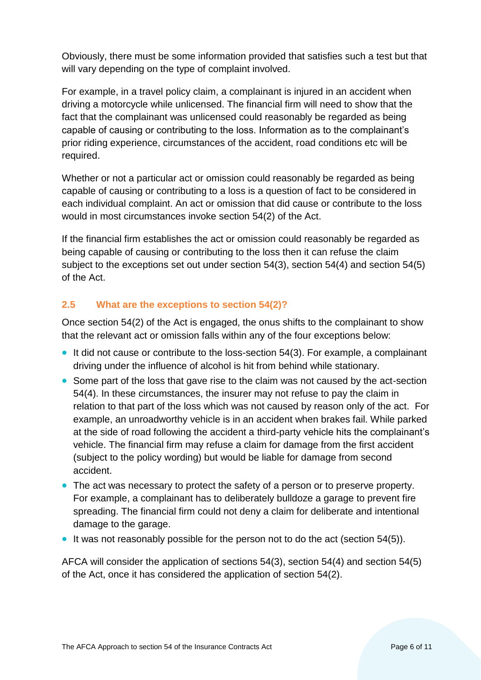Obviously, there must be some information provided that satisfies such a test but that will vary depending on the type of complaint involved.

For example, in a travel policy claim, a complainant is injured in an accident when driving a motorcycle while unlicensed. The financial firm will need to show that the fact that the complainant was unlicensed could reasonably be regarded as being capable of causing or contributing to the loss. Information as to the complainant's prior riding experience, circumstances of the accident, road conditions etc will be required.

Whether or not a particular act or omission could reasonably be regarded as being capable of causing or contributing to a loss is a question of fact to be considered in each individual complaint. An act or omission that did cause or contribute to the loss would in most circumstances invoke section 54(2) of the Act.

If the financial firm establishes the act or omission could reasonably be regarded as being capable of causing or contributing to the loss then it can refuse the claim subject to the exceptions set out under section 54(3), section 54(4) and section 54(5) of the Act.

#### <span id="page-5-0"></span>**2.5 What are the exceptions to section 54(2)?**

Once section 54(2) of the Act is engaged, the onus shifts to the complainant to show that the relevant act or omission falls within any of the four exceptions below:

- It did not cause or contribute to the loss-section 54(3). For example, a complainant driving under the influence of alcohol is hit from behind while stationary.
- Some part of the loss that gave rise to the claim was not caused by the act-section 54(4). In these circumstances, the insurer may not refuse to pay the claim in relation to that part of the loss which was not caused by reason only of the act. For example, an unroadworthy vehicle is in an accident when brakes fail. While parked at the side of road following the accident a third-party vehicle hits the complainant's vehicle. The financial firm may refuse a claim for damage from the first accident (subject to the policy wording) but would be liable for damage from second accident.
- The act was necessary to protect the safety of a person or to preserve property. For example, a complainant has to deliberately bulldoze a garage to prevent fire spreading. The financial firm could not deny a claim for deliberate and intentional damage to the garage.
- It was not reasonably possible for the person not to do the act (section 54(5)).

AFCA will consider the application of sections 54(3), section 54(4) and section 54(5) of the Act, once it has considered the application of section 54(2).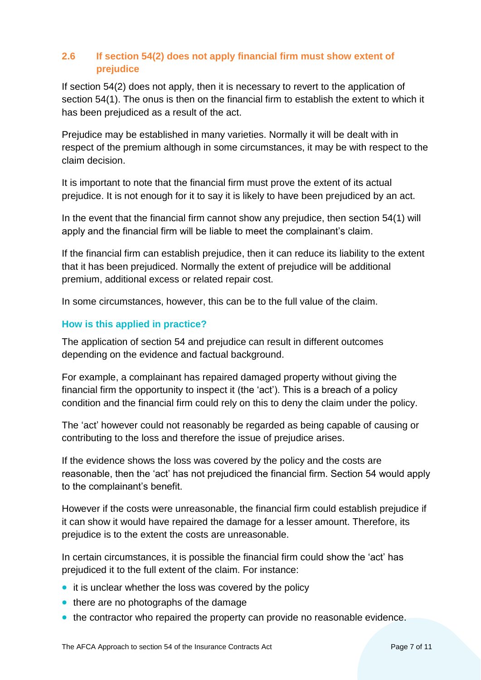#### <span id="page-6-0"></span>**2.6 If section 54(2) does not apply financial firm must show extent of prejudice**

If section 54(2) does not apply, then it is necessary to revert to the application of section 54(1). The onus is then on the financial firm to establish the extent to which it has been prejudiced as a result of the act.

Prejudice may be established in many varieties. Normally it will be dealt with in respect of the premium although in some circumstances, it may be with respect to the claim decision.

It is important to note that the financial firm must prove the extent of its actual prejudice. It is not enough for it to say it is likely to have been prejudiced by an act.

In the event that the financial firm cannot show any prejudice, then section 54(1) will apply and the financial firm will be liable to meet the complainant's claim.

If the financial firm can establish prejudice, then it can reduce its liability to the extent that it has been prejudiced. Normally the extent of prejudice will be additional premium, additional excess or related repair cost.

In some circumstances, however, this can be to the full value of the claim.

#### **How is this applied in practice?**

The application of section 54 and prejudice can result in different outcomes depending on the evidence and factual background.

For example, a complainant has repaired damaged property without giving the financial firm the opportunity to inspect it (the 'act'). This is a breach of a policy condition and the financial firm could rely on this to deny the claim under the policy.

The 'act' however could not reasonably be regarded as being capable of causing or contributing to the loss and therefore the issue of prejudice arises.

If the evidence shows the loss was covered by the policy and the costs are reasonable, then the 'act' has not prejudiced the financial firm. Section 54 would apply to the complainant's benefit.

However if the costs were unreasonable, the financial firm could establish prejudice if it can show it would have repaired the damage for a lesser amount. Therefore, its prejudice is to the extent the costs are unreasonable.

In certain circumstances, it is possible the financial firm could show the 'act' has prejudiced it to the full extent of the claim. For instance:

- it is unclear whether the loss was covered by the policy
- there are no photographs of the damage
- the contractor who repaired the property can provide no reasonable evidence.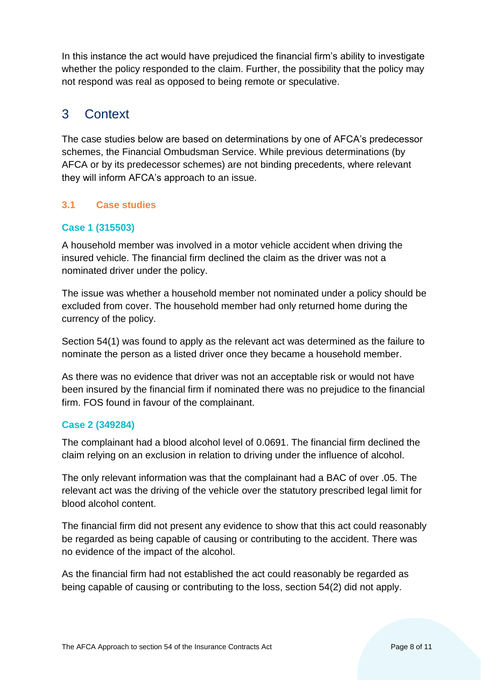In this instance the act would have prejudiced the financial firm's ability to investigate whether the policy responded to the claim. Further, the possibility that the policy may not respond was real as opposed to being remote or speculative.

## <span id="page-7-0"></span>3 Context

The case studies below are based on determinations by one of AFCA's predecessor schemes, the Financial Ombudsman Service. While previous determinations (by AFCA or by its predecessor schemes) are not binding precedents, where relevant they will inform AFCA's approach to an issue.

#### <span id="page-7-1"></span>**3.1 Case studies**

#### **Case 1 (315503)**

A household member was involved in a motor vehicle accident when driving the insured vehicle. The financial firm declined the claim as the driver was not a nominated driver under the policy.

The issue was whether a household member not nominated under a policy should be excluded from cover. The household member had only returned home during the currency of the policy.

Section 54(1) was found to apply as the relevant act was determined as the failure to nominate the person as a listed driver once they became a household member.

As there was no evidence that driver was not an acceptable risk or would not have been insured by the financial firm if nominated there was no prejudice to the financial firm. FOS found in favour of the complainant.

#### **Case 2 (349284)**

The complainant had a blood alcohol level of 0.0691. The financial firm declined the claim relying on an exclusion in relation to driving under the influence of alcohol.

The only relevant information was that the complainant had a BAC of over .05. The relevant act was the driving of the vehicle over the statutory prescribed legal limit for blood alcohol content.

The financial firm did not present any evidence to show that this act could reasonably be regarded as being capable of causing or contributing to the accident. There was no evidence of the impact of the alcohol.

As the financial firm had not established the act could reasonably be regarded as being capable of causing or contributing to the loss, section 54(2) did not apply.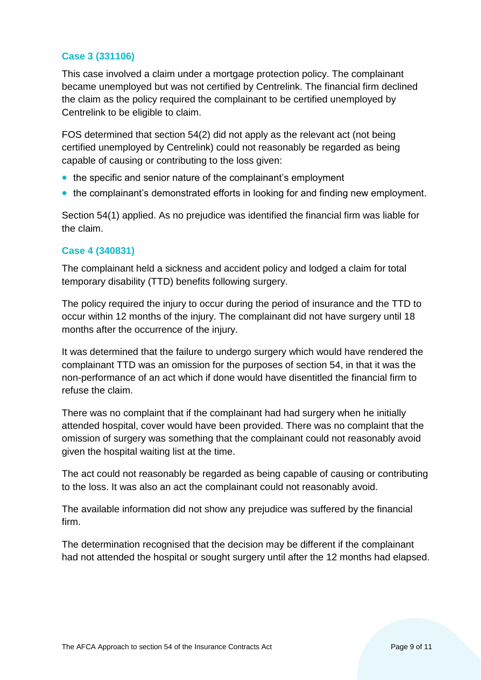#### **Case 3 (331106)**

This case involved a claim under a mortgage protection policy. The complainant became unemployed but was not certified by Centrelink. The financial firm declined the claim as the policy required the complainant to be certified unemployed by Centrelink to be eligible to claim.

FOS determined that section 54(2) did not apply as the relevant act (not being certified unemployed by Centrelink) could not reasonably be regarded as being capable of causing or contributing to the loss given:

- the specific and senior nature of the complainant's employment
- the complainant's demonstrated efforts in looking for and finding new employment.

Section 54(1) applied. As no prejudice was identified the financial firm was liable for the claim.

#### **Case 4 (340831)**

The complainant held a sickness and accident policy and lodged a claim for total temporary disability (TTD) benefits following surgery.

The policy required the injury to occur during the period of insurance and the TTD to occur within 12 months of the injury. The complainant did not have surgery until 18 months after the occurrence of the injury.

It was determined that the failure to undergo surgery which would have rendered the complainant TTD was an omission for the purposes of section 54, in that it was the non-performance of an act which if done would have disentitled the financial firm to refuse the claim.

There was no complaint that if the complainant had had surgery when he initially attended hospital, cover would have been provided. There was no complaint that the omission of surgery was something that the complainant could not reasonably avoid given the hospital waiting list at the time.

The act could not reasonably be regarded as being capable of causing or contributing to the loss. It was also an act the complainant could not reasonably avoid.

The available information did not show any prejudice was suffered by the financial firm.

The determination recognised that the decision may be different if the complainant had not attended the hospital or sought surgery until after the 12 months had elapsed.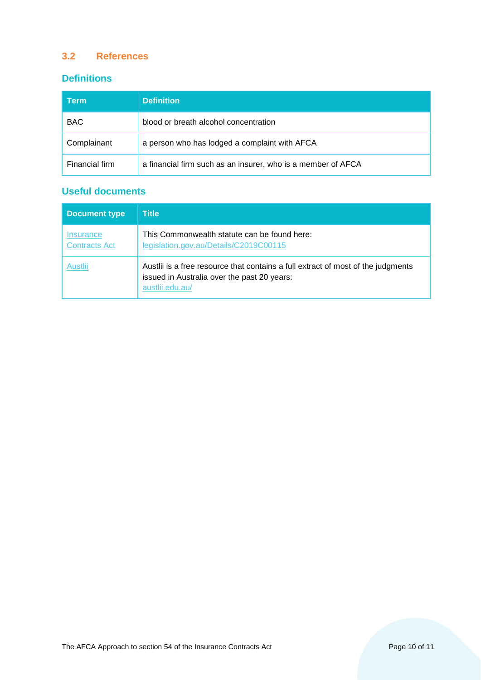#### <span id="page-9-0"></span>**3.2 References**

#### **Definitions**

| <b>Term</b>    | <b>Definition</b>                                            |
|----------------|--------------------------------------------------------------|
| <b>BAC</b>     | blood or breath alcohol concentration                        |
| Complainant    | a person who has lodged a complaint with AFCA                |
| Financial firm | a financial firm such as an insurer, who is a member of AFCA |

## **Useful documents**

| <b>Document type</b>              | <b>Title</b>                                                                                                                                       |
|-----------------------------------|----------------------------------------------------------------------------------------------------------------------------------------------------|
| Insurance<br><b>Contracts Act</b> | This Commonwealth statute can be found here:<br>legislation.gov.au/Details/C2019C00115                                                             |
| Austlii                           | Austlii is a free resource that contains a full extract of most of the judgments<br>issued in Australia over the past 20 years:<br>austlii.edu.au/ |